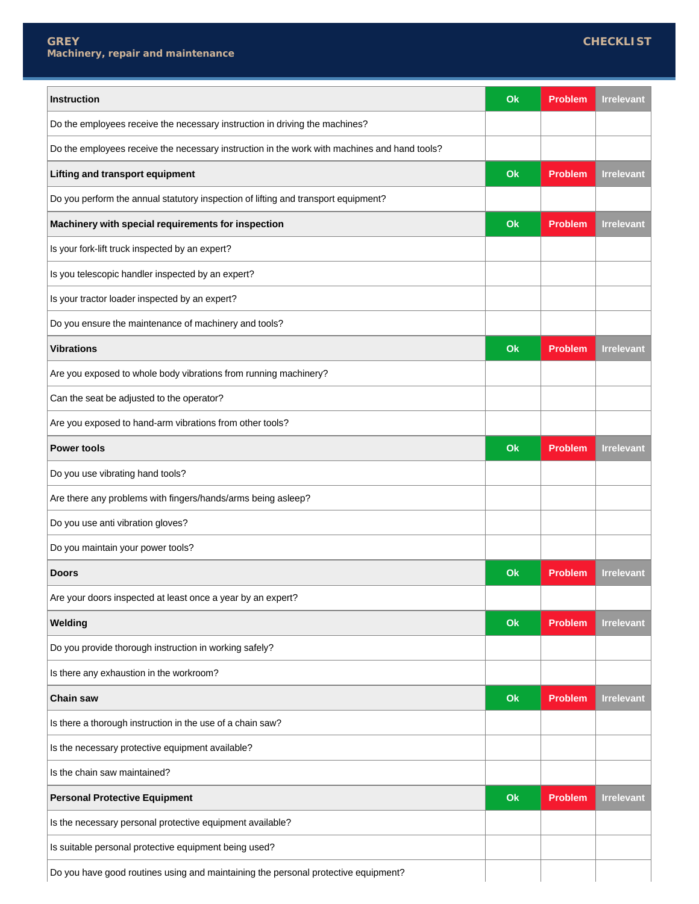| Instruction                                                                                  | Ok | <b>Problem</b> | <b>Irrelevant</b> |
|----------------------------------------------------------------------------------------------|----|----------------|-------------------|
| Do the employees receive the necessary instruction in driving the machines?                  |    |                |                   |
| Do the employees receive the necessary instruction in the work with machines and hand tools? |    |                |                   |
| <b>Lifting and transport equipment</b>                                                       | Ok | <b>Problem</b> | <b>Irrelevant</b> |
| Do you perform the annual statutory inspection of lifting and transport equipment?           |    |                |                   |
| Machinery with special requirements for inspection                                           | Ok | <b>Problem</b> | <b>Irrelevant</b> |
| Is your fork-lift truck inspected by an expert?                                              |    |                |                   |
| Is you telescopic handler inspected by an expert?                                            |    |                |                   |
| Is your tractor loader inspected by an expert?                                               |    |                |                   |
| Do you ensure the maintenance of machinery and tools?                                        |    |                |                   |
| <b>Vibrations</b>                                                                            | Ok | <b>Problem</b> | <b>Irrelevant</b> |
| Are you exposed to whole body vibrations from running machinery?                             |    |                |                   |
| Can the seat be adjusted to the operator?                                                    |    |                |                   |
| Are you exposed to hand-arm vibrations from other tools?                                     |    |                |                   |
| <b>Power tools</b>                                                                           | Ok | <b>Problem</b> | <b>Irrelevant</b> |
| Do you use vibrating hand tools?                                                             |    |                |                   |
| Are there any problems with fingers/hands/arms being asleep?                                 |    |                |                   |
| Do you use anti vibration gloves?                                                            |    |                |                   |
| Do you maintain your power tools?                                                            |    |                |                   |
| <b>Doors</b>                                                                                 | Ok | <b>Problem</b> | <b>Irrelevant</b> |
| Are your doors inspected at least once a year by an expert?                                  |    |                |                   |
| Welding                                                                                      | Ok | <b>Problem</b> | <b>Irrelevant</b> |
| Do you provide thorough instruction in working safely?                                       |    |                |                   |
| Is there any exhaustion in the workroom?                                                     |    |                |                   |
| <b>Chain saw</b>                                                                             | Ok | <b>Problem</b> | <b>Irrelevant</b> |
| Is there a thorough instruction in the use of a chain saw?                                   |    |                |                   |
| Is the necessary protective equipment available?                                             |    |                |                   |
| Is the chain saw maintained?                                                                 |    |                |                   |
| <b>Personal Protective Equipment</b>                                                         | Ok | <b>Problem</b> | <b>Irrelevant</b> |
| Is the necessary personal protective equipment available?                                    |    |                |                   |
| Is suitable personal protective equipment being used?                                        |    |                |                   |
| Do you have good routines using and maintaining the personal protective equipment?           |    |                |                   |